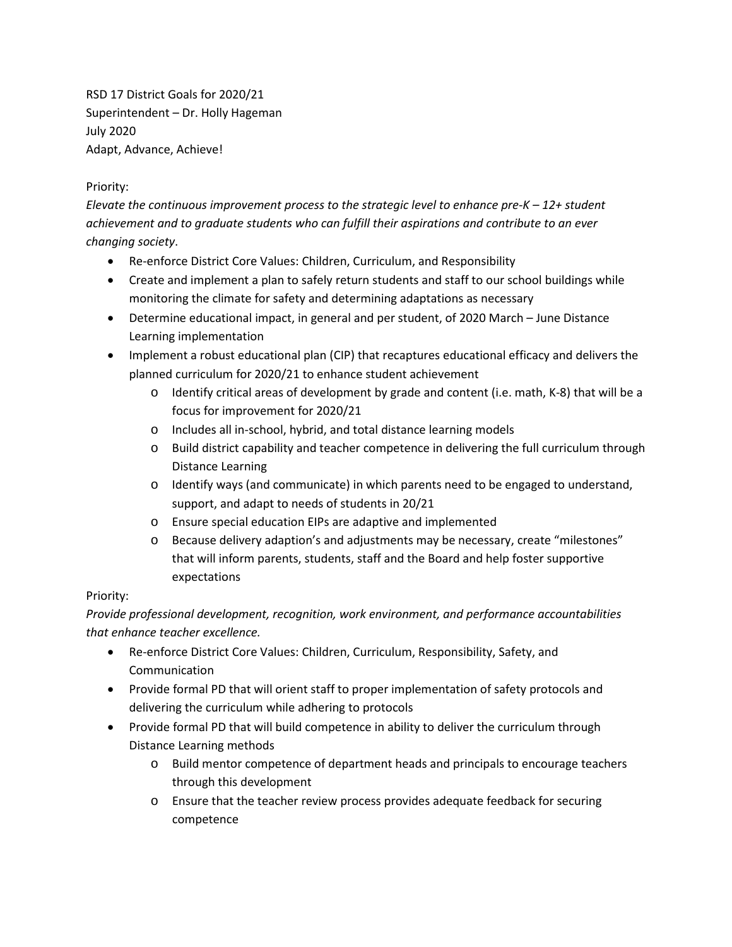RSD 17 District Goals for 2020/21 Superintendent – Dr. Holly Hageman July 2020 Adapt, Advance, Achieve!

## Priority:

*Elevate the continuous improvement process to the strategic level to enhance pre-K – 12+ student achievement and to graduate students who can fulfill their aspirations and contribute to an ever changing society*.

- Re-enforce District Core Values: Children, Curriculum, and Responsibility
- Create and implement a plan to safely return students and staff to our school buildings while monitoring the climate for safety and determining adaptations as necessary
- Determine educational impact, in general and per student, of 2020 March June Distance Learning implementation
- Implement a robust educational plan (CIP) that recaptures educational efficacy and delivers the planned curriculum for 2020/21 to enhance student achievement
	- $\circ$  Identify critical areas of development by grade and content (i.e. math, K-8) that will be a focus for improvement for 2020/21
	- o Includes all in-school, hybrid, and total distance learning models
	- o Build district capability and teacher competence in delivering the full curriculum through Distance Learning
	- o Identify ways (and communicate) in which parents need to be engaged to understand, support, and adapt to needs of students in 20/21
	- o Ensure special education EIPs are adaptive and implemented
	- o Because delivery adaption's and adjustments may be necessary, create "milestones" that will inform parents, students, staff and the Board and help foster supportive expectations

## Priority:

*Provide professional development, recognition, work environment, and performance accountabilities that enhance teacher excellence.*

- Re-enforce District Core Values: Children, Curriculum, Responsibility, Safety, and Communication
- Provide formal PD that will orient staff to proper implementation of safety protocols and delivering the curriculum while adhering to protocols
- Provide formal PD that will build competence in ability to deliver the curriculum through Distance Learning methods
	- o Build mentor competence of department heads and principals to encourage teachers through this development
	- o Ensure that the teacher review process provides adequate feedback for securing competence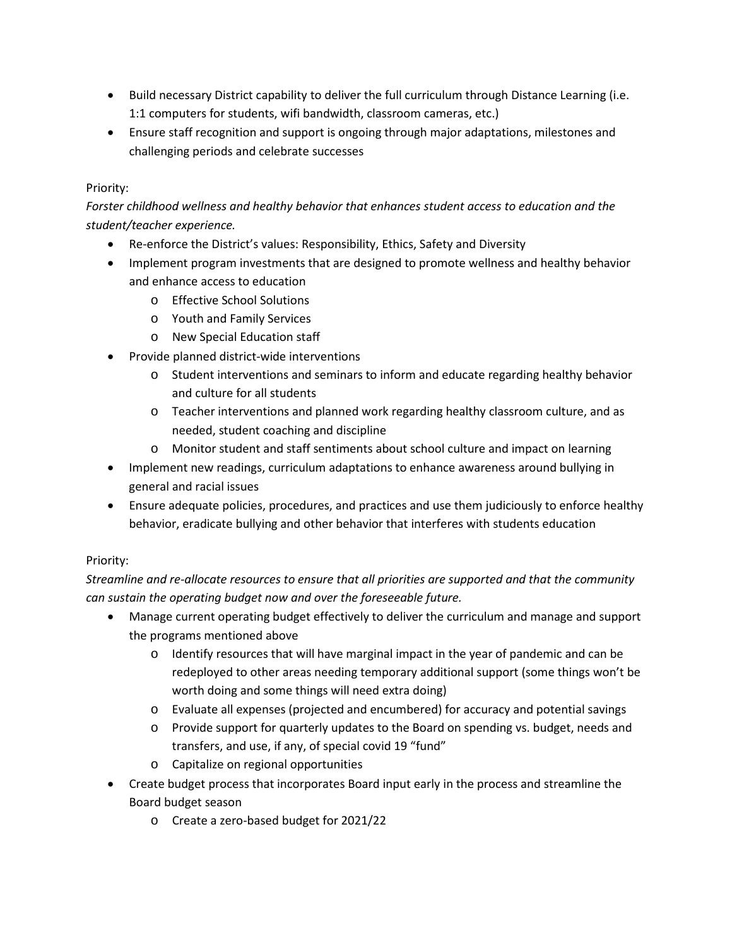- Build necessary District capability to deliver the full curriculum through Distance Learning (i.e. 1:1 computers for students, wifi bandwidth, classroom cameras, etc.)
- Ensure staff recognition and support is ongoing through major adaptations, milestones and challenging periods and celebrate successes

## Priority:

*Forster childhood wellness and healthy behavior that enhances student access to education and the student/teacher experience.*

- Re-enforce the District's values: Responsibility, Ethics, Safety and Diversity
- Implement program investments that are designed to promote wellness and healthy behavior and enhance access to education
	- o Effective School Solutions
	- o Youth and Family Services
	- o New Special Education staff
- Provide planned district-wide interventions
	- o Student interventions and seminars to inform and educate regarding healthy behavior and culture for all students
	- o Teacher interventions and planned work regarding healthy classroom culture, and as needed, student coaching and discipline
	- o Monitor student and staff sentiments about school culture and impact on learning
- Implement new readings, curriculum adaptations to enhance awareness around bullying in general and racial issues
- Ensure adequate policies, procedures, and practices and use them judiciously to enforce healthy behavior, eradicate bullying and other behavior that interferes with students education

## Priority:

*Streamline and re-allocate resources to ensure that all priorities are supported and that the community can sustain the operating budget now and over the foreseeable future.*

- Manage current operating budget effectively to deliver the curriculum and manage and support the programs mentioned above
	- o Identify resources that will have marginal impact in the year of pandemic and can be redeployed to other areas needing temporary additional support (some things won't be worth doing and some things will need extra doing)
	- o Evaluate all expenses (projected and encumbered) for accuracy and potential savings
	- o Provide support for quarterly updates to the Board on spending vs. budget, needs and transfers, and use, if any, of special covid 19 "fund"
	- o Capitalize on regional opportunities
- Create budget process that incorporates Board input early in the process and streamline the Board budget season
	- o Create a zero-based budget for 2021/22